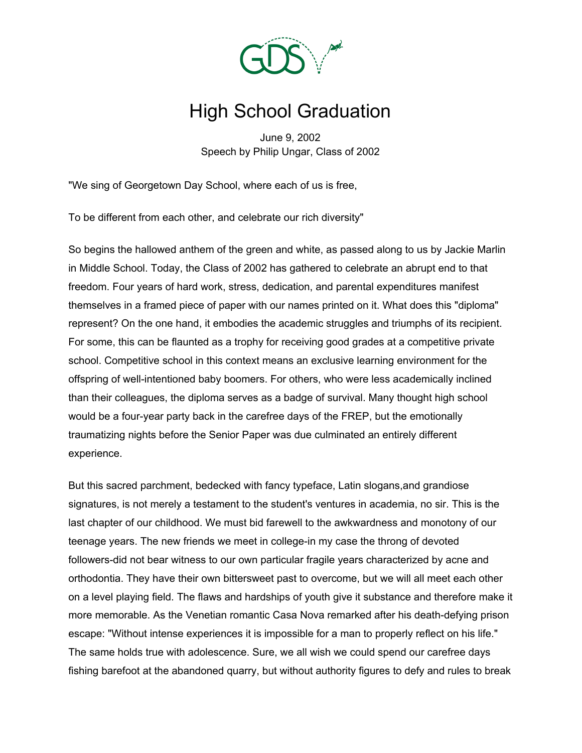

## High School Graduation

June 9, 2002 Speech by Philip Ungar, Class of 2002

"We sing of Georgetown Day School, where each of us is free,

To be different from each other, and celebrate our rich diversity"

So begins the hallowed anthem of the green and white, as passed along to us by Jackie Marlin in Middle School. Today, the Class of 2002 has gathered to celebrate an abrupt end to that freedom. Four years of hard work, stress, dedication, and parental expenditures manifest themselves in a framed piece of paper with our names printed on it. What does this "diploma" represent? On the one hand, it embodies the academic struggles and triumphs of its recipient. For some, this can be flaunted as a trophy for receiving good grades at a competitive private school. Competitive school in this context means an exclusive learning environment for the offspring of well-intentioned baby boomers. For others, who were less academically inclined than their colleagues, the diploma serves as a badge of survival. Many thought high school would be a four-year party back in the carefree days of the FREP, but the emotionally traumatizing nights before the Senior Paper was due culminated an entirely different experience.

But this sacred parchment, bedecked with fancy typeface, Latin slogans,and grandiose signatures, is not merely a testament to the student's ventures in academia, no sir. This is the last chapter of our childhood. We must bid farewell to the awkwardness and monotony of our teenage years. The new friends we meet in college-in my case the throng of devoted followers-did not bear witness to our own particular fragile years characterized by acne and orthodontia. They have their own bittersweet past to overcome, but we will all meet each other on a level playing field. The flaws and hardships of youth give it substance and therefore make it more memorable. As the Venetian romantic Casa Nova remarked after his death-defying prison escape: "Without intense experiences it is impossible for a man to properly reflect on his life." The same holds true with adolescence. Sure, we all wish we could spend our carefree days fishing barefoot at the abandoned quarry, but without authority figures to defy and rules to break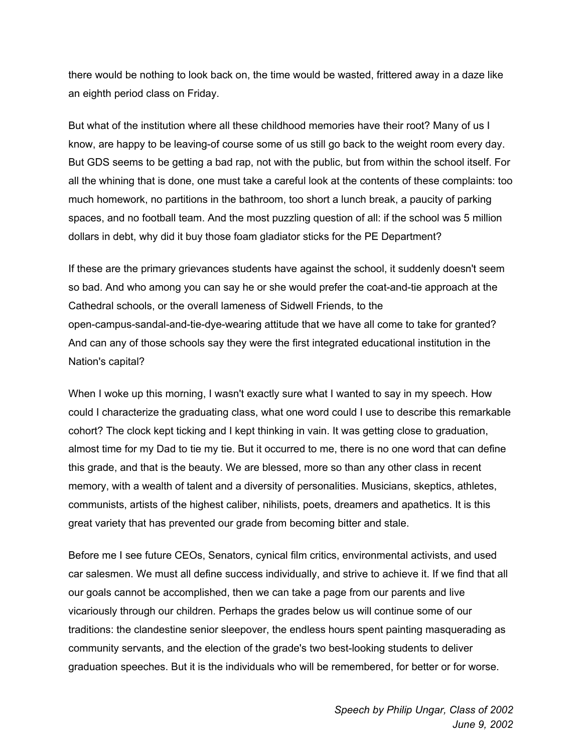there would be nothing to look back on, the time would be wasted, frittered away in a daze like an eighth period class on Friday.

But what of the institution where all these childhood memories have their root? Many of us I know, are happy to be leaving-of course some of us still go back to the weight room every day. But GDS seems to be getting a bad rap, not with the public, but from within the school itself. For all the whining that is done, one must take a careful look at the contents of these complaints: too much homework, no partitions in the bathroom, too short a lunch break, a paucity of parking spaces, and no football team. And the most puzzling question of all: if the school was 5 million dollars in debt, why did it buy those foam gladiator sticks for the PE Department?

If these are the primary grievances students have against the school, it suddenly doesn't seem so bad. And who among you can say he or she would prefer the coat-and-tie approach at the Cathedral schools, or the overall lameness of Sidwell Friends, to the open-campus-sandal-and-tie-dye-wearing attitude that we have all come to take for granted? And can any of those schools say they were the first integrated educational institution in the Nation's capital?

When I woke up this morning, I wasn't exactly sure what I wanted to say in my speech. How could I characterize the graduating class, what one word could I use to describe this remarkable cohort? The clock kept ticking and I kept thinking in vain. It was getting close to graduation, almost time for my Dad to tie my tie. But it occurred to me, there is no one word that can define this grade, and that is the beauty. We are blessed, more so than any other class in recent memory, with a wealth of talent and a diversity of personalities. Musicians, skeptics, athletes, communists, artists of the highest caliber, nihilists, poets, dreamers and apathetics. It is this great variety that has prevented our grade from becoming bitter and stale.

Before me I see future CEOs, Senators, cynical film critics, environmental activists, and used car salesmen. We must all define success individually, and strive to achieve it. If we find that all our goals cannot be accomplished, then we can take a page from our parents and live vicariously through our children. Perhaps the grades below us will continue some of our traditions: the clandestine senior sleepover, the endless hours spent painting masquerading as community servants, and the election of the grade's two best-looking students to deliver graduation speeches. But it is the individuals who will be remembered, for better or for worse.